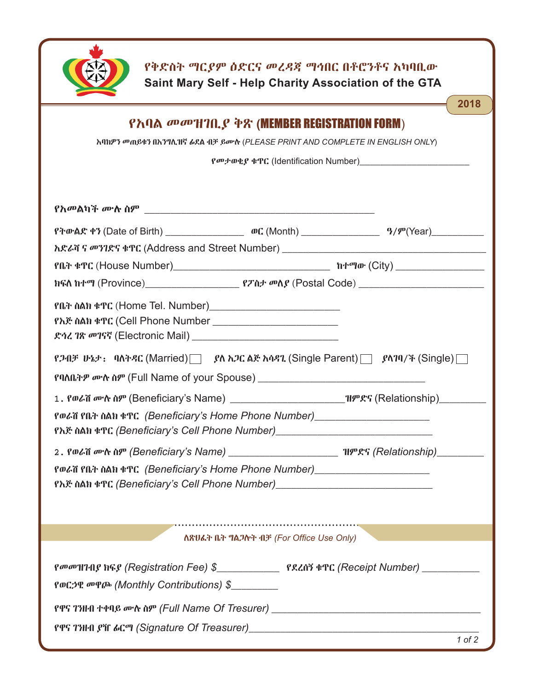

**የቅድስት ማርያም ዕድርና መረዳጃ ማኅበር በቶሮንቶና አካባቢው Saint Mary Self - Help Charity Association of the GTA**

| 2018                                                                                                                                                                |  |  |
|---------------------------------------------------------------------------------------------------------------------------------------------------------------------|--|--|
| የአባል መመዝገቢያ ቅጽ (MEMBER REGISTRATION FORM)                                                                                                                           |  |  |
| እባክዎን መጠይቁን በእንግሊዝኛ ፊደል ብቻ ይሙሉ (PLEASE PRINT AND COMPLETE IN ENGLISH ONLY)                                                                                          |  |  |
| <i>Po</i> P+DQP \$TC (Identification Number)                                                                                                                        |  |  |
|                                                                                                                                                                     |  |  |
|                                                                                                                                                                     |  |  |
|                                                                                                                                                                     |  |  |
|                                                                                                                                                                     |  |  |
|                                                                                                                                                                     |  |  |
|                                                                                                                                                                     |  |  |
|                                                                                                                                                                     |  |  |
| የጋብቻ ሁኔታ: ባለትዳር (Married)   ያለ አጋር ልጅ አሳዳጊ (Single Parent)   ያላገባ/ች (Single)                                                                                        |  |  |
|                                                                                                                                                                     |  |  |
|                                                                                                                                                                     |  |  |
| የወራሽ የቤት ስልክ ቁጥር (Beneficiary's Home Phone Number)_____________________________<br>የእጅ ስልክ ቁጥር (Beneficiary's Cell Phone Number)___________________________________ |  |  |
| 2. Polia or N NP (Beneficiary's Name) ________________________ HPRS (Relationship)_________                                                                         |  |  |
| የወራሽ የቤት ስልክ ቁጥር (Beneficiary's Home Phone Number)________________________                                                                                          |  |  |
| የእጅ ስልክ ቁጥር (Beneficiary's Cell Phone Number) _________________________________                                                                                     |  |  |
|                                                                                                                                                                     |  |  |
|                                                                                                                                                                     |  |  |
| ለጽህፌት ቤት ግልጋሎት ብቻ (For Office Use Only)                                                                                                                             |  |  |
|                                                                                                                                                                     |  |  |
| የወርኃዊ መዋጮ (Monthly Contributions) \$                                                                                                                                |  |  |
|                                                                                                                                                                     |  |  |
| PPS ΤΗ ΠΡΙΤ βΗ δια (Signature Of Treasurer) [1989] [1989] ΣΕΡΣΤΑΙ (Signature Of Treasurer 1989] [1989] [1989] [1989]                                                |  |  |
| 10f2                                                                                                                                                                |  |  |